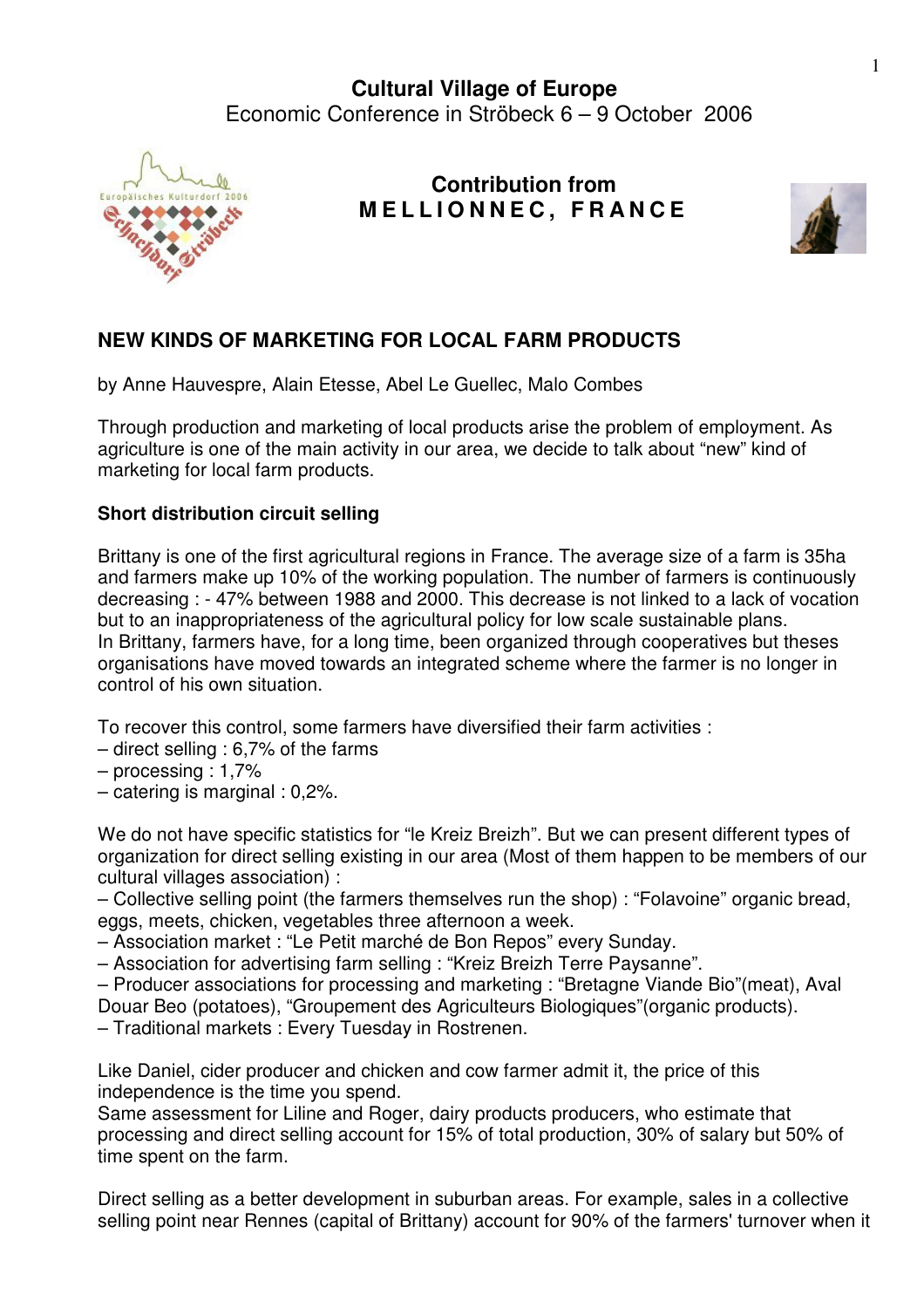

## **Contribution from M E L L I O N N E C , F R A N C E**



## **NEW KINDS OF MARKETING FOR LOCAL FARM PRODUCTS**

by Anne Hauvespre, Alain Etesse, Abel Le Guellec, Malo Combes

Through production and marketing of local products arise the problem of employment. As agriculture is one of the main activity in our area, we decide to talk about "new" kind of marketing for local farm products.

## **Short distribution circuit selling**

Brittany is one of the first agricultural regions in France. The average size of a farm is 35ha and farmers make up 10% of the working population. The number of farmers is continuously decreasing : - 47% between 1988 and 2000. This decrease is not linked to a lack of vocation but to an inappropriateness of the agricultural policy for low scale sustainable plans. In Brittany, farmers have, for a long time, been organized through cooperatives but theses organisations have moved towards an integrated scheme where the farmer is no longer in control of his own situation.

To recover this control, some farmers have diversified their farm activities :

- direct selling : 6,7% of the farms
- processing : 1,7%
- catering is marginal : 0,2%.

We do not have specific statistics for "le Kreiz Breizh". But we can present different types of organization for direct selling existing in our area (Most of them happen to be members of our cultural villages association) :

– Collective selling point (the farmers themselves run the shop) : "Folavoine" organic bread, eggs, meets, chicken, vegetables three afternoon a week.

– Association market : "Le Petit marché de Bon Repos" every Sunday.

– Association for advertising farm selling : "Kreiz Breizh Terre Paysanne".

– Producer associations for processing and marketing : "Bretagne Viande Bio"(meat), Aval Douar Beo (potatoes), "Groupement des Agriculteurs Biologiques"(organic products).

– Traditional markets : Every Tuesday in Rostrenen.

Like Daniel, cider producer and chicken and cow farmer admit it, the price of this independence is the time you spend.

Same assessment for Liline and Roger, dairy products producers, who estimate that processing and direct selling account for 15% of total production, 30% of salary but 50% of time spent on the farm.

Direct selling as a better development in suburban areas. For example, sales in a collective selling point near Rennes (capital of Brittany) account for 90% of the farmers' turnover when it